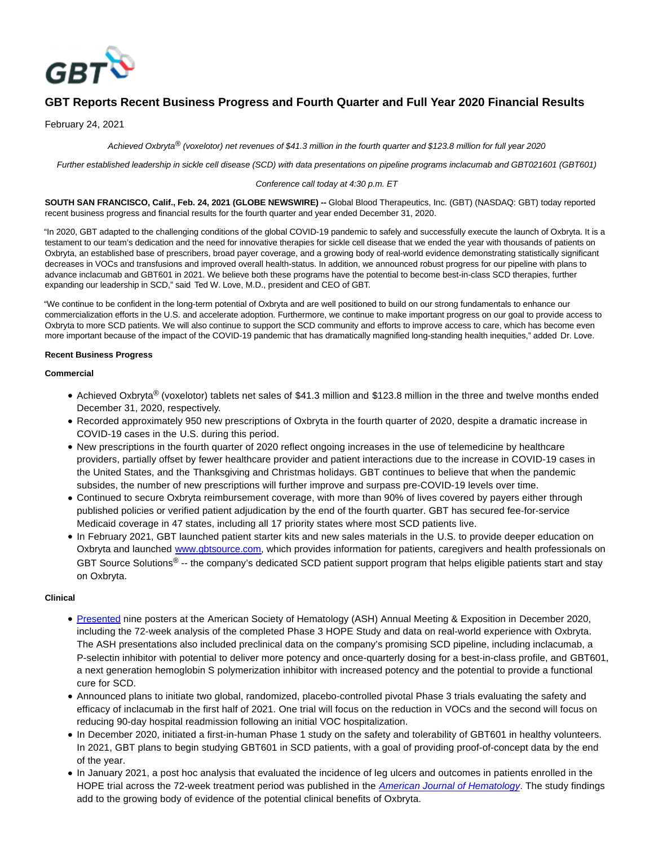

# **GBT Reports Recent Business Progress and Fourth Quarter and Full Year 2020 Financial Results**

February 24, 2021

Achieved Oxbryta® (voxelotor) net revenues of \$41.3 million in the fourth quarter and \$123.8 million for full year 2020

Further established leadership in sickle cell disease (SCD) with data presentations on pipeline programs inclacumab and GBT021601 (GBT601)

# Conference call today at 4:30 p.m. ET

**SOUTH SAN FRANCISCO, Calif., Feb. 24, 2021 (GLOBE NEWSWIRE) --** Global Blood Therapeutics, Inc. (GBT) (NASDAQ: GBT) today reported recent business progress and financial results for the fourth quarter and year ended December 31, 2020.

"In 2020, GBT adapted to the challenging conditions of the global COVID-19 pandemic to safely and successfully execute the launch of Oxbryta. It is a testament to our team's dedication and the need for innovative therapies for sickle cell disease that we ended the year with thousands of patients on Oxbryta, an established base of prescribers, broad payer coverage, and a growing body of real-world evidence demonstrating statistically significant decreases in VOCs and transfusions and improved overall health-status. In addition, we announced robust progress for our pipeline with plans to advance inclacumab and GBT601 in 2021. We believe both these programs have the potential to become best-in-class SCD therapies, further expanding our leadership in SCD," said Ted W. Love, M.D., president and CEO of GBT.

"We continue to be confident in the long-term potential of Oxbryta and are well positioned to build on our strong fundamentals to enhance our commercialization efforts in the U.S. and accelerate adoption. Furthermore, we continue to make important progress on our goal to provide access to Oxbryta to more SCD patients. We will also continue to support the SCD community and efforts to improve access to care, which has become even more important because of the impact of the COVID-19 pandemic that has dramatically magnified long-standing health inequities," added Dr. Love.

## **Recent Business Progress**

## **Commercial**

- Achieved Oxbryta<sup>®</sup> (voxelotor) tablets net sales of \$41.3 million and \$123.8 million in the three and twelve months ended December 31, 2020, respectively.
- Recorded approximately 950 new prescriptions of Oxbryta in the fourth quarter of 2020, despite a dramatic increase in COVID-19 cases in the U.S. during this period.
- New prescriptions in the fourth quarter of 2020 reflect ongoing increases in the use of telemedicine by healthcare providers, partially offset by fewer healthcare provider and patient interactions due to the increase in COVID-19 cases in the United States, and the Thanksgiving and Christmas holidays. GBT continues to believe that when the pandemic subsides, the number of new prescriptions will further improve and surpass pre-COVID-19 levels over time.
- Continued to secure Oxbryta reimbursement coverage, with more than 90% of lives covered by payers either through published policies or verified patient adjudication by the end of the fourth quarter. GBT has secured fee-for-service Medicaid coverage in 47 states, including all 17 priority states where most SCD patients live.
- In February 2021, GBT launched patient starter kits and new sales materials in the U.S. to provide deeper education on Oxbryta and launched [www.gbtsource.com,](http://www.gbtsource.com/) which provides information for patients, caregivers and health professionals on GBT Source Solutions<sup>®</sup> -- the company's dedicated SCD patient support program that helps eligible patients start and stay on Oxbryta.

## **Clinical**

- [Presented n](https://www.gbt.com/research/publications/recent-medical-meeting-presentations/)ine posters at the American Society of Hematology (ASH) Annual Meeting & Exposition in December 2020, including the 72-week analysis of the completed Phase 3 HOPE Study and data on real-world experience with Oxbryta. The ASH presentations also included preclinical data on the company's promising SCD pipeline, including inclacumab, a P-selectin inhibitor with potential to deliver more potency and once-quarterly dosing for a best-in-class profile, and GBT601, a next generation hemoglobin S polymerization inhibitor with increased potency and the potential to provide a functional cure for SCD.
- Announced plans to initiate two global, randomized, placebo-controlled pivotal Phase 3 trials evaluating the safety and efficacy of inclacumab in the first half of 2021. One trial will focus on the reduction in VOCs and the second will focus on reducing 90-day hospital readmission following an initial VOC hospitalization.
- In December 2020, initiated a first-in-human Phase 1 study on the safety and tolerability of GBT601 in healthy volunteers. In 2021, GBT plans to begin studying GBT601 in SCD patients, with a goal of providing proof-of-concept data by the end of the year.
- In January 2021, a post hoc analysis that evaluated the incidence of leg ulcers and outcomes in patients enrolled in the HOPE trial across the 72-week treatment period was published in the **[American Journal of Hematology](https://onlinelibrary.wiley.com/doi/10.1002/ajh.26101)**. The study findings add to the growing body of evidence of the potential clinical benefits of Oxbryta.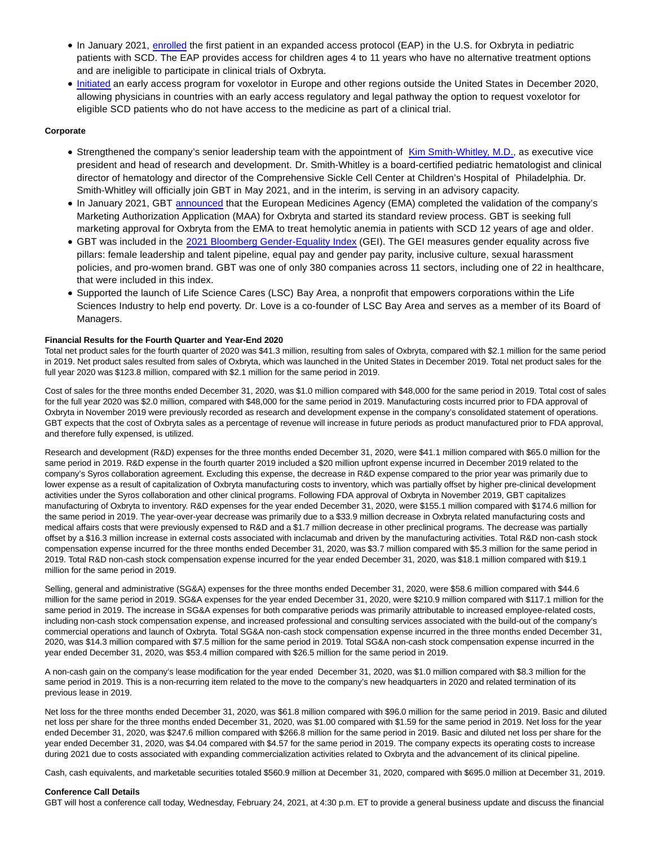- In January 2021, [enrolled t](https://ir.gbt.com/news-releases/news-release-details/gbt-initiates-expanded-access-protocol-oxbrytar-voxelotor)he first patient in an expanded access protocol (EAP) in the U.S. for Oxbryta in pediatric patients with SCD. The EAP provides access for children ages 4 to 11 years who have no alternative treatment options and are ineligible to participate in clinical trials of Oxbryta.
- [Initiated](https://ir.gbt.com/news-releases/news-release-details/gbt-initiates-early-access-program-voxelotor-patients-sickle) an early access program for voxelotor in Europe and other regions outside the United States in December 2020, allowing physicians in countries with an early access regulatory and legal pathway the option to request voxelotor for eligible SCD patients who do not have access to the medicine as part of a clinical trial.

# **Corporate**

- Strengthened the company's senior leadership team with the appointment of [Kim Smith-Whitley, M.D.,](https://ir.gbt.com/news-releases/news-release-details/gbt-appoints-kim-smith-whitley-md-lead-research-and-development) as executive vice president and head of research and development. Dr. Smith-Whitley is a board-certified pediatric hematologist and clinical director of hematology and director of the Comprehensive Sickle Cell Center at Children's Hospital of Philadelphia. Dr. Smith-Whitley will officially join GBT in May 2021, and in the interim, is serving in an advisory capacity.
- In January 2021, GBT [announced t](https://ir.gbt.com/news-releases/news-release-details/european-medicines-agency-accepts-gbts-marketing-authorization)hat the European Medicines Agency (EMA) completed the validation of the company's Marketing Authorization Application (MAA) for Oxbryta and started its standard review process. GBT is seeking full marketing approval for Oxbryta from the EMA to treat hemolytic anemia in patients with SCD 12 years of age and older.
- GBT was included in the [2021 Bloomberg Gender-Equality Index \(](https://www.bloomberg.com/company/press/bloombergs-2021-gender-equality-index-reveals-increased-disclosure-as-companies-reinforce-commitment-to-inclusive-workplaces/)GEI). The GEI measures gender equality across five pillars: female leadership and talent pipeline, equal pay and gender pay parity, inclusive culture, sexual harassment policies, and pro-women brand. GBT was one of only 380 companies across 11 sectors, including one of 22 in healthcare, that were included in this index.
- Supported the launch of Life Science Cares (LSC) Bay Area, a nonprofit that empowers corporations within the Life Sciences Industry to help end poverty. Dr. Love is a co-founder of LSC Bay Area and serves as a member of its Board of Managers.

# **Financial Results for the Fourth Quarter and Year-End 2020**

Total net product sales for the fourth quarter of 2020 was \$41.3 million, resulting from sales of Oxbryta, compared with \$2.1 million for the same period in 2019. Net product sales resulted from sales of Oxbryta, which was launched in the United States in December 2019. Total net product sales for the full year 2020 was \$123.8 million, compared with \$2.1 million for the same period in 2019.

Cost of sales for the three months ended December 31, 2020, was \$1.0 million compared with \$48,000 for the same period in 2019. Total cost of sales for the full year 2020 was \$2.0 million, compared with \$48,000 for the same period in 2019. Manufacturing costs incurred prior to FDA approval of Oxbryta in November 2019 were previously recorded as research and development expense in the company's consolidated statement of operations. GBT expects that the cost of Oxbryta sales as a percentage of revenue will increase in future periods as product manufactured prior to FDA approval, and therefore fully expensed, is utilized.

Research and development (R&D) expenses for the three months ended December 31, 2020, were \$41.1 million compared with \$65.0 million for the same period in 2019. R&D expense in the fourth quarter 2019 included a \$20 million upfront expense incurred in December 2019 related to the company's Syros collaboration agreement. Excluding this expense, the decrease in R&D expense compared to the prior year was primarily due to lower expense as a result of capitalization of Oxbryta manufacturing costs to inventory, which was partially offset by higher pre-clinical development activities under the Syros collaboration and other clinical programs. Following FDA approval of Oxbryta in November 2019, GBT capitalizes manufacturing of Oxbryta to inventory. R&D expenses for the year ended December 31, 2020, were \$155.1 million compared with \$174.6 million for the same period in 2019. The year-over-year decrease was primarily due to a \$33.9 million decrease in Oxbryta related manufacturing costs and medical affairs costs that were previously expensed to R&D and a \$1.7 million decrease in other preclinical programs. The decrease was partially offset by a \$16.3 million increase in external costs associated with inclacumab and driven by the manufacturing activities. Total R&D non-cash stock compensation expense incurred for the three months ended December 31, 2020, was \$3.7 million compared with \$5.3 million for the same period in 2019. Total R&D non-cash stock compensation expense incurred for the year ended December 31, 2020, was \$18.1 million compared with \$19.1 million for the same period in 2019.

Selling, general and administrative (SG&A) expenses for the three months ended December 31, 2020, were \$58.6 million compared with \$44.6 million for the same period in 2019. SG&A expenses for the year ended December 31, 2020, were \$210.9 million compared with \$117.1 million for the same period in 2019. The increase in SG&A expenses for both comparative periods was primarily attributable to increased employee-related costs, including non-cash stock compensation expense, and increased professional and consulting services associated with the build-out of the company's commercial operations and launch of Oxbryta. Total SG&A non-cash stock compensation expense incurred in the three months ended December 31, 2020, was \$14.3 million compared with \$7.5 million for the same period in 2019. Total SG&A non-cash stock compensation expense incurred in the year ended December 31, 2020, was \$53.4 million compared with \$26.5 million for the same period in 2019.

A non-cash gain on the company's lease modification for the year ended December 31, 2020, was \$1.0 million compared with \$8.3 million for the same period in 2019. This is a non-recurring item related to the move to the company's new headquarters in 2020 and related termination of its previous lease in 2019.

Net loss for the three months ended December 31, 2020, was \$61.8 million compared with \$96.0 million for the same period in 2019. Basic and diluted net loss per share for the three months ended December 31, 2020, was \$1.00 compared with \$1.59 for the same period in 2019. Net loss for the year ended December 31, 2020, was \$247.6 million compared with \$266.8 million for the same period in 2019. Basic and diluted net loss per share for the year ended December 31, 2020, was \$4.04 compared with \$4.57 for the same period in 2019. The company expects its operating costs to increase during 2021 due to costs associated with expanding commercialization activities related to Oxbryta and the advancement of its clinical pipeline.

Cash, cash equivalents, and marketable securities totaled \$560.9 million at December 31, 2020, compared with \$695.0 million at December 31, 2019.

## **Conference Call Details**

GBT will host a conference call today, Wednesday, February 24, 2021, at 4:30 p.m. ET to provide a general business update and discuss the financial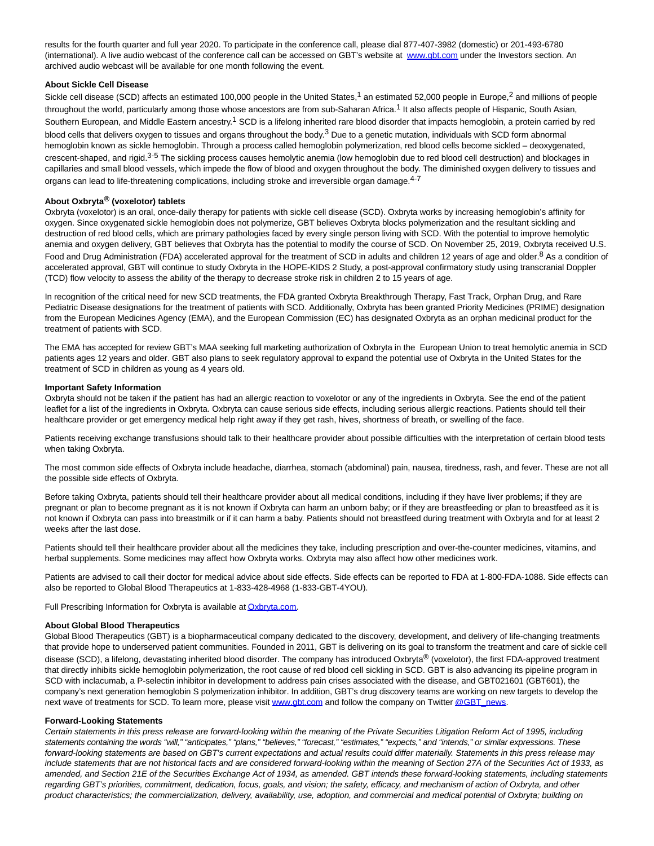results for the fourth quarter and full year 2020. To participate in the conference call, please dial 877-407-3982 (domestic) or 201-493-6780 (international). A live audio webcast of the conference call can be accessed on GBT's website at [www.gbt.com u](https://www.globenewswire.com/Tracker?data=lkcn5UbYf8OBpaxAaB6qFUBpmntNpXD481D5-pWLEcesyAP58oJoGUlXThBY8RjlEKXQ09qru1qBTgSVn1yhWA==)nder the Investors section. An archived audio webcast will be available for one month following the event.

## **About Sickle Cell Disease**

Sickle cell disease (SCD) affects an estimated 100,000 people in the United States,<sup>1</sup> an estimated 52,000 people in Europe,<sup>2</sup> and millions of people throughout the world, particularly among those whose ancestors are from sub-Saharan Africa.<sup>1</sup> It also affects people of Hispanic, South Asian, Southern European, and Middle Eastern ancestry.<sup>1</sup> SCD is a lifelong inherited rare blood disorder that impacts hemoglobin, a protein carried by red blood cells that delivers oxygen to tissues and organs throughout the body.<sup>3</sup> Due to a genetic mutation, individuals with SCD form abnormal hemoglobin known as sickle hemoglobin. Through a process called hemoglobin polymerization, red blood cells become sickled – deoxygenated, crescent-shaped, and rigid.<sup>3-5</sup> The sickling process causes hemolytic anemia (low hemoglobin due to red blood cell destruction) and blockages in capillaries and small blood vessels, which impede the flow of blood and oxygen throughout the body. The diminished oxygen delivery to tissues and organs can lead to life-threatening complications, including stroke and irreversible organ damage.<sup>4-7</sup>

## **About Oxbryta® (voxelotor) tablets**

Oxbryta (voxelotor) is an oral, once-daily therapy for patients with sickle cell disease (SCD). Oxbryta works by increasing hemoglobin's affinity for oxygen. Since oxygenated sickle hemoglobin does not polymerize, GBT believes Oxbryta blocks polymerization and the resultant sickling and destruction of red blood cells, which are primary pathologies faced by every single person living with SCD. With the potential to improve hemolytic anemia and oxygen delivery, GBT believes that Oxbryta has the potential to modify the course of SCD. On November 25, 2019, Oxbryta received U.S. Food and Drug Administration (FDA) accelerated approval for the treatment of SCD in adults and children 12 years of age and older.<sup>8</sup> As a condition of accelerated approval, GBT will continue to study Oxbryta in the HOPE-KIDS 2 Study, a post-approval confirmatory study using transcranial Doppler (TCD) flow velocity to assess the ability of the therapy to decrease stroke risk in children 2 to 15 years of age.

In recognition of the critical need for new SCD treatments, the FDA granted Oxbryta Breakthrough Therapy, Fast Track, Orphan Drug, and Rare Pediatric Disease designations for the treatment of patients with SCD. Additionally, Oxbryta has been granted Priority Medicines (PRIME) designation from the European Medicines Agency (EMA), and the European Commission (EC) has designated Oxbryta as an orphan medicinal product for the treatment of patients with SCD.

The EMA has accepted for review GBT's MAA seeking full marketing authorization of Oxbryta in the European Union to treat hemolytic anemia in SCD patients ages 12 years and older. GBT also plans to seek regulatory approval to expand the potential use of Oxbryta in the United States for the treatment of SCD in children as young as 4 years old.

# **Important Safety Information**

Oxbryta should not be taken if the patient has had an allergic reaction to voxelotor or any of the ingredients in Oxbryta. See the end of the patient leaflet for a list of the ingredients in Oxbryta. Oxbryta can cause serious side effects, including serious allergic reactions. Patients should tell their healthcare provider or get emergency medical help right away if they get rash, hives, shortness of breath, or swelling of the face.

Patients receiving exchange transfusions should talk to their healthcare provider about possible difficulties with the interpretation of certain blood tests when taking Oxbryta.

The most common side effects of Oxbryta include headache, diarrhea, stomach (abdominal) pain, nausea, tiredness, rash, and fever. These are not all the possible side effects of Oxbryta.

Before taking Oxbryta, patients should tell their healthcare provider about all medical conditions, including if they have liver problems; if they are pregnant or plan to become pregnant as it is not known if Oxbryta can harm an unborn baby; or if they are breastfeeding or plan to breastfeed as it is not known if Oxbryta can pass into breastmilk or if it can harm a baby. Patients should not breastfeed during treatment with Oxbryta and for at least 2 weeks after the last dose.

Patients should tell their healthcare provider about all the medicines they take, including prescription and over-the-counter medicines, vitamins, and herbal supplements. Some medicines may affect how Oxbryta works. Oxbryta may also affect how other medicines work.

Patients are advised to call their doctor for medical advice about side effects. Side effects can be reported to FDA at 1-800-FDA-1088. Side effects can also be reported to Global Blood Therapeutics at 1-833-428-4968 (1-833-GBT-4YOU).

Full Prescribing Information for Oxbryta is available a[t Oxbryta.com.](https://www.globenewswire.com/Tracker?data=6b-BjpScDyD_6w47d3DD3kjcXhpnLj_2ZgXIyd3zZemwiaDeZhS0cqGU9c7Rt_ycPAzBOVCm9TB5rlypzyGiisasO6ly_oAIBCiSl_gN_mbzjBELj5qAsH-O00B2AOZ8dH5lEK_AnnnEOXmVONYkqQh_iwDmdf4uzHB2fg7XccFS1oQP2bAGwOy_pbtl_qF5hcf2VSRWrmKj_kqw0ceodNHbahqU9xis3EJDfs4SKog=)

## **About Global Blood Therapeutics**

Global Blood Therapeutics (GBT) is a biopharmaceutical company dedicated to the discovery, development, and delivery of life-changing treatments that provide hope to underserved patient communities. Founded in 2011, GBT is delivering on its goal to transform the treatment and care of sickle cell disease (SCD), a lifelong, devastating inherited blood disorder. The company has introduced Oxbryta® (voxelotor), the first FDA-approved treatment that directly inhibits sickle hemoglobin polymerization, the root cause of red blood cell sickling in SCD. GBT is also advancing its pipeline program in SCD with inclacumab, a P-selectin inhibitor in development to address pain crises associated with the disease, and GBT021601 (GBT601), the company's next generation hemoglobin S polymerization inhibitor. In addition, GBT's drug discovery teams are working on new targets to develop the next wave of treatments for SCD. To learn more, please visit [www.gbt.com a](https://www.globenewswire.com/Tracker?data=lkcn5UbYf8OBpaxAaB6qFbgdqdD1tOCNnHZeMTf3sQlc-DFDq7-Ci-g-f50GwnRm3D36vi3cR1E4shQ51nZufPw4XvheQZeuKBqDBzpaXYCq4XnRk7i8UcVQQtlqYr3gRQgzQtXMBEQV8ou401_zYcJuPf_JLjiwwf0DRpuOjQ0n1d6INA2hObqlNsX4LzUqHw4MRyK0NZPRUsGCHKOwMv779Md9t8Chr3RNZMLJmKk=)nd follow the company on Twitter @GBT\_news.

#### **Forward-Looking Statements**

Certain statements in this press release are forward-looking within the meaning of the Private Securities Litigation Reform Act of 1995, including statements containing the words "will," "anticipates," "plans," "believes," "forecast," "estimates," "expects," and "intends," or similar expressions. These forward-looking statements are based on GBT's current expectations and actual results could differ materially. Statements in this press release may include statements that are not historical facts and are considered forward-looking within the meaning of Section 27A of the Securities Act of 1933, as amended, and Section 21E of the Securities Exchange Act of 1934, as amended. GBT intends these forward-looking statements, including statements regarding GBT's priorities, commitment, dedication, focus, goals, and vision; the safety, efficacy, and mechanism of action of Oxbryta, and other product characteristics; the commercialization, delivery, availability, use, adoption, and commercial and medical potential of Oxbryta; building on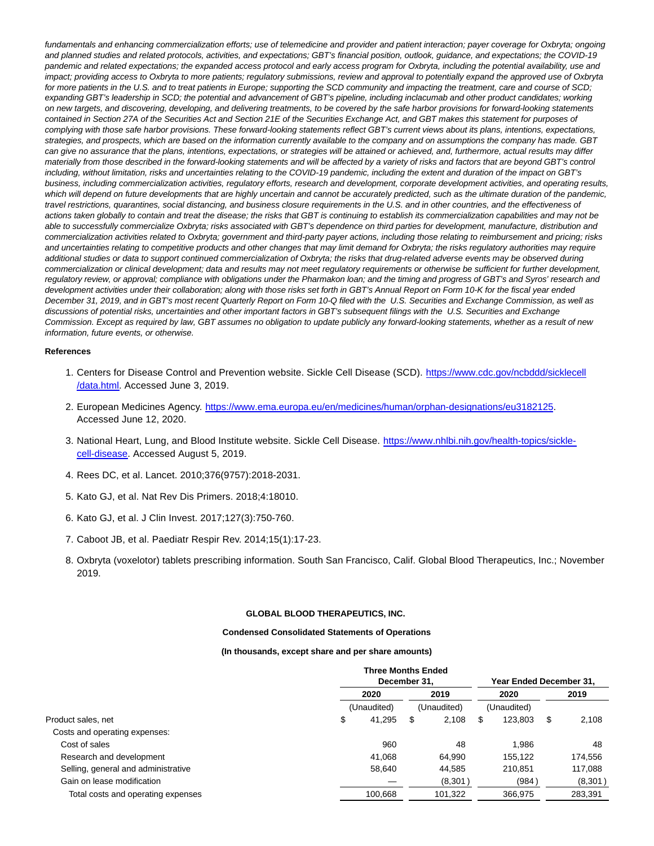fundamentals and enhancing commercialization efforts; use of telemedicine and provider and patient interaction; payer coverage for Oxbryta; ongoing and planned studies and related protocols, activities, and expectations; GBT's financial position, outlook, guidance, and expectations; the COVID-19 pandemic and related expectations; the expanded access protocol and early access program for Oxbryta, including the potential availability, use and impact; providing access to Oxbryta to more patients; regulatory submissions, review and approval to potentially expand the approved use of Oxbryta for more patients in the U.S. and to treat patients in Europe; supporting the SCD community and impacting the treatment, care and course of SCD; expanding GBT's leadership in SCD; the potential and advancement of GBT's pipeline, including inclacumab and other product candidates; working on new targets, and discovering, developing, and delivering treatments, to be covered by the safe harbor provisions for forward-looking statements contained in Section 27A of the Securities Act and Section 21E of the Securities Exchange Act, and GBT makes this statement for purposes of complying with those safe harbor provisions. These forward-looking statements reflect GBT's current views about its plans, intentions, expectations, strategies, and prospects, which are based on the information currently available to the company and on assumptions the company has made. GBT can give no assurance that the plans, intentions, expectations, or strategies will be attained or achieved, and, furthermore, actual results may differ materially from those described in the forward-looking statements and will be affected by a variety of risks and factors that are beyond GBT's control including, without limitation, risks and uncertainties relating to the COVID-19 pandemic, including the extent and duration of the impact on GBT's business, including commercialization activities, regulatory efforts, research and development, corporate development activities, and operating results, which will depend on future developments that are highly uncertain and cannot be accurately predicted, such as the ultimate duration of the pandemic, travel restrictions, quarantines, social distancing, and business closure requirements in the U.S. and in other countries, and the effectiveness of actions taken globally to contain and treat the disease; the risks that GBT is continuing to establish its commercialization capabilities and may not be able to successfully commercialize Oxbryta; risks associated with GBT's dependence on third parties for development, manufacture, distribution and commercialization activities related to Oxbryta; government and third-party payer actions, including those relating to reimbursement and pricing; risks and uncertainties relating to competitive products and other changes that may limit demand for Oxbryta; the risks regulatory authorities may require additional studies or data to support continued commercialization of Oxbryta; the risks that drug-related adverse events may be observed during commercialization or clinical development; data and results may not meet regulatory requirements or otherwise be sufficient for further development, regulatory review, or approval; compliance with obligations under the Pharmakon loan; and the timing and progress of GBT's and Syros' research and development activities under their collaboration; along with those risks set forth in GBT's Annual Report on Form 10-K for the fiscal year ended December 31, 2019, and in GBT's most recent Quarterly Report on Form 10-Q filed with the U.S. Securities and Exchange Commission, as well as discussions of potential risks, uncertainties and other important factors in GBT's subsequent filings with the U.S. Securities and Exchange Commission. Except as required by law, GBT assumes no obligation to update publicly any forward-looking statements, whether as a result of new information, future events, or otherwise.

#### **References**

- 1. Centers for Disease Control and Prevention website. Sickle Cell Disease (SCD). [https://www.cdc.gov/ncbddd/sicklecell](https://www.cdc.gov/ncbddd/sicklecell/data.html) /data.html. Accessed June 3, 2019.
- 2. European Medicines Agency. [https://www.ema.europa.eu/en/medicines/human/orphan-designations/eu3182125.](https://www.ema.europa.eu/en/medicines/human/orphan-designations/eu3182125) Accessed June 12, 2020.
- 3. National Heart, Lung, and Blood Institute website. Sickle Cell Disease. [https://www.nhlbi.nih.gov/health-topics/sickle](https://www.nhlbi.nih.gov/health-topics/sickle-cell-disease)cell-disease. Accessed August 5, 2019.
- 4. Rees DC, et al. Lancet. 2010;376(9757):2018-2031.
- 5. Kato GJ, et al. Nat Rev Dis Primers. 2018;4:18010.
- 6. Kato GJ, et al. J Clin Invest. 2017;127(3):750-760.
- 7. Caboot JB, et al. Paediatr Respir Rev. 2014;15(1):17-23.
- 8. Oxbryta (voxelotor) tablets prescribing information. South San Francisco, Calif. Global Blood Therapeutics, Inc.; November 2019.

#### **GLOBAL BLOOD THERAPEUTICS, INC.**

#### **Condensed Consolidated Statements of Operations**

#### **(In thousands, except share and per share amounts)**

|                                     |      | <b>Three Months Ended</b><br>December 31, |      |             |      | Year Ended December 31, |     |         |  |
|-------------------------------------|------|-------------------------------------------|------|-------------|------|-------------------------|-----|---------|--|
|                                     | 2020 |                                           | 2019 |             | 2020 |                         |     | 2019    |  |
|                                     |      | (Unaudited)                               |      | (Unaudited) |      | (Unaudited)             |     |         |  |
| Product sales, net                  | \$   | 41,295                                    | S    | 2.108       | S    | 123.803                 | \$. | 2,108   |  |
| Costs and operating expenses:       |      |                                           |      |             |      |                         |     |         |  |
| Cost of sales                       |      | 960                                       |      | 48          |      | 1.986                   |     | 48      |  |
| Research and development            |      | 41.068                                    |      | 64.990      |      | 155.122                 |     | 174,556 |  |
| Selling, general and administrative |      | 58,640                                    |      | 44.585      |      | 210.851                 |     | 117,088 |  |
| Gain on lease modification          |      |                                           |      | (8,301)     |      | (984)                   |     | (8,301) |  |
| Total costs and operating expenses  |      | 100.668                                   |      | 101,322     |      | 366.975                 |     | 283,391 |  |